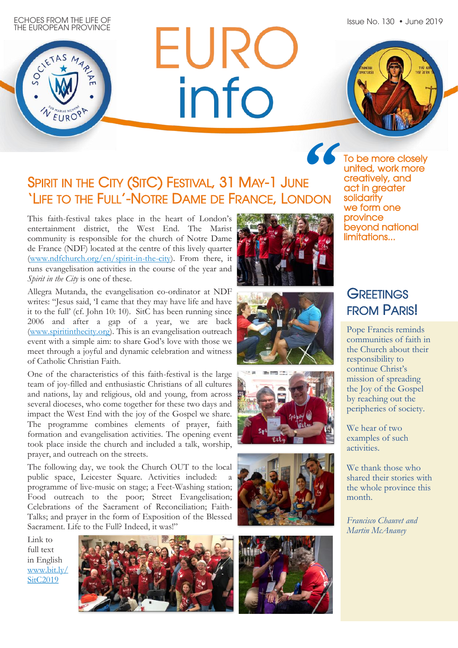Issue No. 130 • June 2019



ECHOES FROM THE LIFE OF



## SPIRIT IN THE CITY (SITC) FESTIVAL, 31 MAY-1 JUNE 'LIFE TO THE FULL'-NOTRE DAME DE FRANCE, LONDON

**EURC**<br>info

This faith-festival takes place in the heart of London's entertainment district, the West End. The Marist community is responsible for the church of Notre Dame de France (NDF) located at the centre of this lively quarter [\(www.ndfchurch.org/en/spirit-in-the-city\)](http://www.ndfchurch.org/en/spirit-in-the-city). From there, it runs evangelisation activities in the course of the year and *Spirit in the City* is one of these.

Allegra Mutanda, the evangelisation co-ordinator at NDF writes: "Jesus said, 'I came that they may have life and have it to the full' (cf. John 10: 10). SitC has been running since 2006 and after a gap of a year, we are back [\(www.spiritinthecity.org\)](http://www.spiritinthecity.org/). This is an evangelisation outreach event with a simple aim: to share God's love with those we meet through a joyful and dynamic celebration and witness of Catholic Christian Faith.

One of the characteristics of this faith-festival is the large team of joy-filled and enthusiastic Christians of all cultures and nations, lay and religious, old and young, from across several dioceses, who come together for these two days and impact the West End with the joy of the Gospel we share. The programme combines elements of prayer, faith formation and evangelisation activities. The opening event took place inside the church and included a talk, worship, prayer, and outreach on the streets.

The following day, we took the Church OUT to the local public space, Leicester Square. Activities included: programme of live-music on stage; a Feet-Washing station; Food outreach to the poor; Street Evangelisation; Celebrations of the Sacrament of Reconciliation; Faith-Talks; and prayer in the form of Exposition of the Blessed Sacrament. Life to the Full? Indeed, it was!"

Link to full text in English [www.bit.ly/](http://bit.ly/SitC2019) SitC<sub>2019</sub>







![](_page_0_Picture_12.jpeg)

![](_page_0_Picture_13.jpeg)

![](_page_0_Picture_14.jpeg)

**"**To be more closely united, work more creatively, and act in greater solidarity we form one province beyond national limitations...

## **GREETINGS** FROM PARIS!

Pope Francis reminds communities of faith in the Church about their responsibility to continue Christ's mission of spreading the Joy of the Gospel by reaching out the peripheries of society.

We hear of two examples of such activities.

We thank those who shared their stories with the whole province this month.

*Francisco Chauvet and Martin McAnaney*